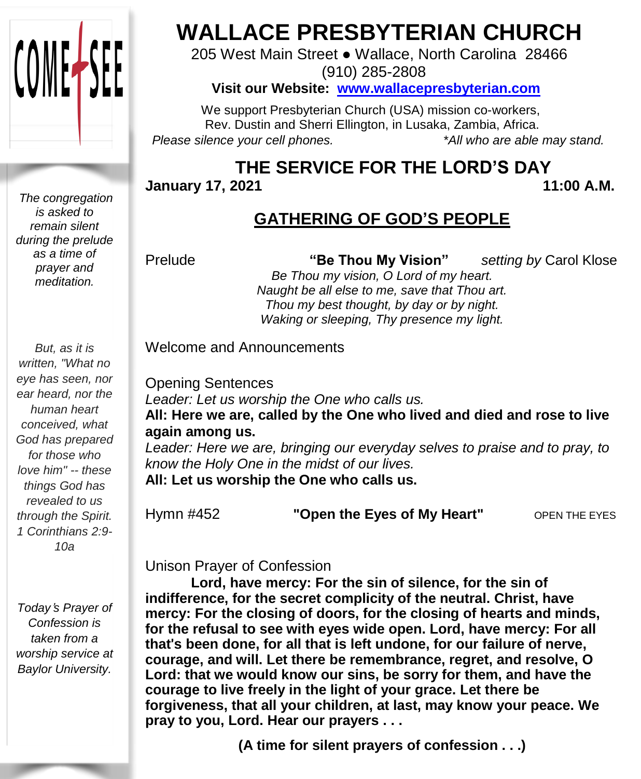

## **WALLACE PRESBYTERIAN CHURCH**

205 West Main Street ● Wallace, North Carolina 28466 (910) 285-2808

**Visit our Website: [www.wallacepresbyterian.com](http://www.wallacepresbyterian.com/)**

 We support Presbyterian Church (USA) mission co-workers, Rev. Dustin and Sherri Ellington, in Lusaka, Zambia, Africa. *Please silence your cell phones. \*All who are able may stand.*

## **THE SERVICE FOR THE LORD'S DAY**

**January** 17, 2021 11:00 A.M.

## **GATHERING OF GOD'S PEOPLE**

Prelude **"Be Thou My Vision"** *setting by* Carol Klose *Be Thou my vision, O Lord of my heart.*

*Naught be all else to me, save that Thou art. Thou my best thought, by day or by night. Waking or sleeping, Thy presence my light.*

Welcome and Announcements

Opening Sentences *Leader: Let us worship the One who calls us.* **All: Here we are, called by the One who lived and died and rose to live again among us.**

*Leader: Here we are, bringing our everyday selves to praise and to pray, to know the Holy One in the midst of our lives.*

**All: Let us worship the One who calls us.**

Hymn #452 **"Open the Eyes of My Heart"** OPEN THE EYES

Unison Prayer of Confession

**Lord, have mercy: For the sin of silence, for the sin of indifference, for the secret complicity of the neutral. Christ, have mercy: For the closing of doors, for the closing of hearts and minds, for the refusal to see with eyes wide open. Lord, have mercy: For all that**'**s been done, for all that is left undone, for our failure of nerve, courage, and will. Let there be remembrance, regret, and resolve, O Lord: that we would know our sins, be sorry for them, and have the courage to live freely in the light of your grace. Let there be forgiveness, that all your children, at last, may know your peace. We pray to you, Lord. Hear our prayers . . .**

**(A time for silent prayers of confession . . .)**

*The congregation is asked to remain silent during the prelude as a time of prayer and meditation.*

*But, as it is written, "What no eye has seen, nor ear heard, nor the human heart conceived, what God has prepared for those who love him" -- these things God has revealed to us through the Spirit. 1 Corinthians 2:9- 10a*

*Today*'*s Prayer of Confession is taken from a worship service at Baylor University.*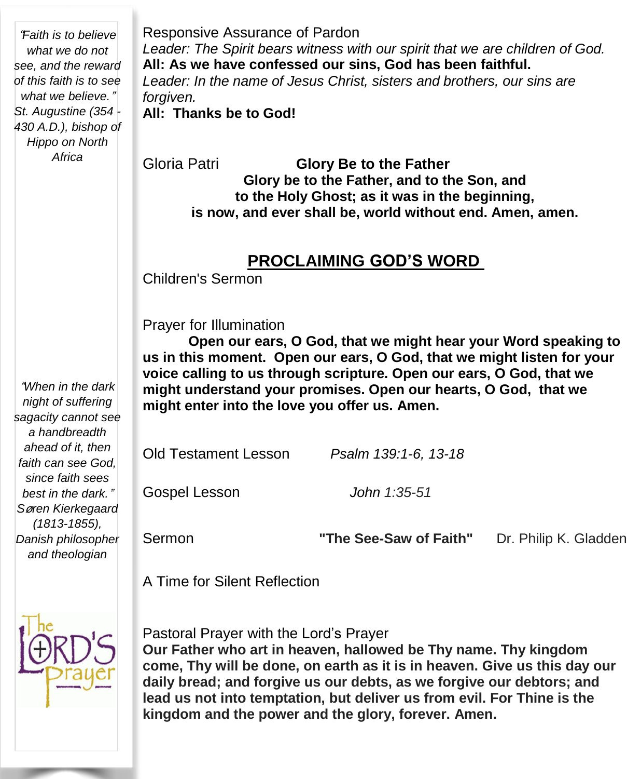"*Faith is to believe what we do not see, and the reward of this faith is to see what we believe.*" *St. Augustine (354 - 430 A.D.), bishop of Hippo on North Africa*

Responsive Assurance of Pardon *Leader: The Spirit bears witness with our spirit that we are children of God.* **All: As we have confessed our sins, God has been faithful.** *Leader: In the name of Jesus Christ, sisters and brothers, our sins are forgiven.* **All: Thanks be to God!**

Gloria Patri **Glory Be to the Father Glory be to the Father, and to the Son, and to the Holy Ghost; as it was in the beginning, is now, and ever shall be, world without end. Amen, amen.**

#### **PROCLAIMING GOD'S WORD**

Children's Sermon

Prayer for Illumination

**Open our ears, O God, that we might hear your Word speaking to us in this moment. Open our ears, O God, that we might listen for your voice calling to us through scripture. Open our ears, O God, that we might understand your promises. Open our hearts, O God, that we might enter into the love you offer us. Amen.**

Old Testament Lesson *Psalm 139:1-6, 13-18*

Gospel Lesson *John 1:35-51*

Sermon **"The See-Saw of Faith"** Dr. Philip K. Gladden

A Time for Silent Reflection



Pastoral Prayer with the Lord's Prayer **Our Father who art in heaven, hallowed be Thy name. Thy kingdom come, Thy will be done, on earth as it is in heaven. Give us this day our daily bread; and forgive us our debts, as we forgive our debtors; and lead us not into temptation, but deliver us from evil. For Thine is the kingdom and the power and the glory, forever. Amen.**

"*When in the dark night of suffering sagacity cannot see a handbreadth ahead of it, then faith can see God, since faith sees best in the dark.*" *S*ø*ren Kierkegaard (1813-1855), Danish philosopher and theologian*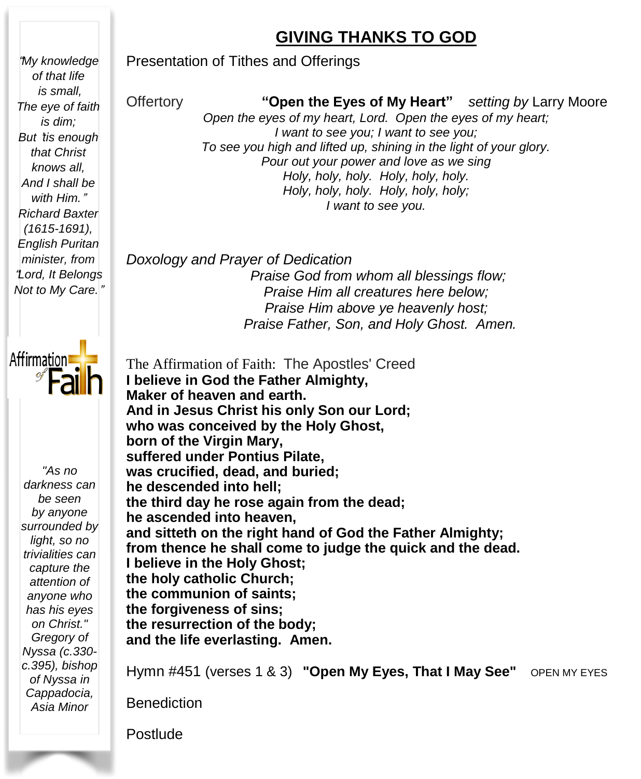#### **GIVING THANKS TO GOD**

Presentation of Tithes and Offerings

Offertory **"Open the Eyes of My Heart"** *setting by* Larry Moore *Open the eyes of my heart, Lord. Open the eyes of my heart; I want to see you; I want to see you; To see you high and lifted up, shining in the light of your glory. Pour out your power and love as we sing Holy, holy, holy. Holy, holy, holy. Holy, holy, holy. Holy, holy, holy; I want to see you.*

*Doxology and Prayer of Dedication Praise God from whom all blessings flow; Praise Him all creatures here below; Praise Him above ye heavenly host; Praise Father, Son, and Holy Ghost. Amen.*

 **the forgiveness of sins;** The Affirmation of Faith: The Apostles' Creed **I believe in God the Father Almighty, Maker of heaven and earth. And in Jesus Christ his only Son our Lord; who was conceived by the Holy Ghost, born of the Virgin Mary, suffered under Pontius Pilate, was crucified, dead, and buried; he descended into hell; the third day he rose again from the dead; he ascended into heaven, and sitteth on the right hand of God the Father Almighty; from thence he shall come to judge the quick and the dead. I believe in the Holy Ghost; the holy catholic Church; the communion of saints; the resurrection of the body; and the life everlasting. Amen.**

Hymn #451 (verses 1 & 3) **"Open My Eyes, That I May See"** OPEN MY EYES

**Benediction** 

Postlude

"*My knowledge of that life is small,*

*is dim;*

*that Christ knows all, And I shall be with Him.*" *Richard Baxter (1615-1691), English Puritan minister, from* "*Lord, It Belongs Not to My Care.*"

*"As no darkness can be seen by anyone surrounded by light, so no trivialities can capture the attention of anyone who has his eyes on Christ." Gregory of Nyssa (c.330 c.395), bishop of Nyssa in Cappadocia, Asia Minor*



*The eye of faith But* '*tis enough*